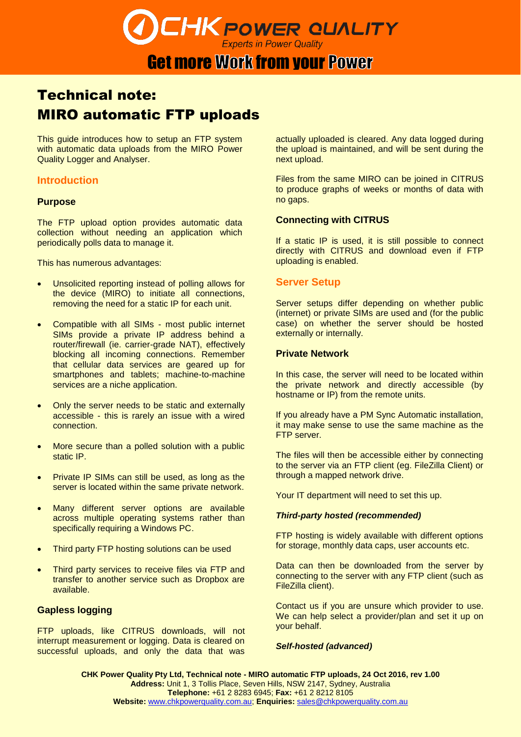# **CHK POWER QUALITY**

# **Get more Work from your Power**

## Technical note: MIRO automatic FTP uploads

This guide introduces how to setup an FTP system with automatic data uploads from the MIRO Power Quality Logger and Analyser.

## **Introduction**

#### **Purpose**

The FTP upload option provides automatic data collection without needing an application which periodically polls data to manage it.

This has numerous advantages:

- Unsolicited reporting instead of polling allows for the device (MIRO) to initiate all connections, removing the need for a static IP for each unit.
- Compatible with all SIMs most public internet SIMs provide a private IP address behind a router/firewall (ie. carrier-grade NAT), effectively blocking all incoming connections. Remember that cellular data services are geared up for smartphones and tablets; machine-to-machine services are a niche application.
- Only the server needs to be static and externally accessible - this is rarely an issue with a wired connection.
- More secure than a polled solution with a public static IP.
- Private IP SIMs can still be used, as long as the server is located within the same private network.
- Many different server options are available across multiple operating systems rather than specifically requiring a Windows PC.
- Third party FTP hosting solutions can be used
- Third party services to receive files via FTP and transfer to another service such as Dropbox are available.

#### **Gapless logging**

FTP uploads, like CITRUS downloads, will not interrupt measurement or logging. Data is cleared on successful uploads, and only the data that was

actually uploaded is cleared. Any data logged during the upload is maintained, and will be sent during the next upload.

Files from the same MIRO can be joined in CITRUS to produce graphs of weeks or months of data with no gaps.

#### **Connecting with CITRUS**

If a static IP is used, it is still possible to connect directly with CITRUS and download even if FTP uploading is enabled.

#### **Server Setup**

Server setups differ depending on whether public (internet) or private SIMs are used and (for the public case) on whether the server should be hosted externally or internally.

#### **Private Network**

In this case, the server will need to be located within the private network and directly accessible (by hostname or IP) from the remote units.

If you already have a PM Sync Automatic installation, it may make sense to use the same machine as the FTP server.

The files will then be accessible either by connecting to the server via an FTP client (eg. FileZilla Client) or through a mapped network drive.

Your IT department will need to set this up.

#### *Third-party hosted (recommended)*

FTP hosting is widely available with different options for storage, monthly data caps, user accounts etc.

Data can then be downloaded from the server by connecting to the server with any FTP client (such as FileZilla client).

Contact us if you are unsure which provider to use. We can help select a provider/plan and set it up on your behalf.

#### *Self-hosted (advanced)*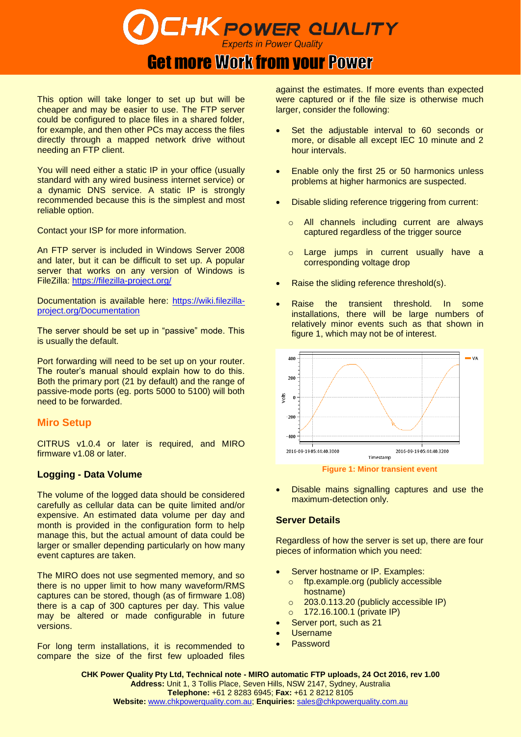# **CHK POWER QUALITY** Experts in Power Quality

# **Get more Work from your Power**

This option will take longer to set up but will be cheaper and may be easier to use. The FTP server could be configured to place files in a shared folder, for example, and then other PCs may access the files directly through a mapped network drive without needing an FTP client.

You will need either a static IP in your office (usually standard with any wired business internet service) or a dynamic DNS service. A static IP is strongly recommended because this is the simplest and most reliable option.

Contact your ISP for more information.

An FTP server is included in Windows Server 2008 and later, but it can be difficult to set up. A popular server that works on any version of Windows is FileZilla:<https://filezilla-project.org/>

Documentation is available here: [https://wiki.filezilla](https://wiki.filezilla-project.org/Documentation)[project.org/Documentation](https://wiki.filezilla-project.org/Documentation)

The server should be set up in "passive" mode. This is usually the default.

Port forwarding will need to be set up on your router. The router's manual should explain how to do this. Both the primary port (21 by default) and the range of passive-mode ports (eg. ports 5000 to 5100) will both need to be forwarded.

## **Miro Setup**

CITRUS v1.0.4 or later is required, and MIRO firmware v1.08 or later.

## **Logging - Data Volume**

The volume of the logged data should be considered carefully as cellular data can be quite limited and/or expensive. An estimated data volume per day and month is provided in the configuration form to help manage this, but the actual amount of data could be larger or smaller depending particularly on how many event captures are taken.

The MIRO does not use segmented memory, and so there is no upper limit to how many waveform/RMS captures can be stored, though (as of firmware 1.08) there is a cap of 300 captures per day. This value may be altered or made configurable in future versions.

For long term installations, it is recommended to compare the size of the first few uploaded files against the estimates. If more events than expected were captured or if the file size is otherwise much larger, consider the following:

- Set the adjustable interval to 60 seconds or more, or disable all except IEC 10 minute and 2 hour intervals.
- Enable only the first 25 or 50 harmonics unless problems at higher harmonics are suspected.
- Disable sliding reference triggering from current:
	- o All channels including current are always captured regardless of the trigger source
	- o Large jumps in current usually have a corresponding voltage drop
- Raise the sliding reference threshold(s).
- Raise the transient threshold. In some installations, there will be large numbers of relatively minor events such as that shown in figure 1, which may not be of interest.



 Disable mains signalling captures and use the maximum-detection only.

### **Server Details**

Regardless of how the server is set up, there are four pieces of information which you need:

- Server hostname or IP. Examples:
	- o ftp.example.org (publicly accessible hostname)
	- o 203.0.113.20 (publicly accessible IP)
	- o 172.16.100.1 (private IP)
- Server port, such as 21
- Username
- Password